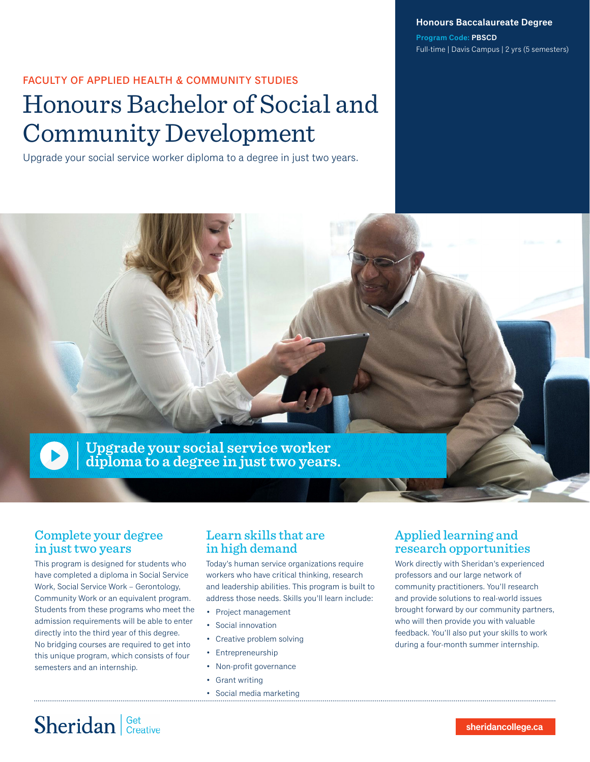**Honours Baccalaureate Degree**

**Program Code: PBSCD** Full-time | Davis Campus | 2 yrs (5 semesters)

### FACULTY OF APPLIED HEALTH & COMMUNITY STUDIES

# Honours Bachelor of Social and Community Development

Upgrade your social service worker diploma to a degree in just two years.



### Complete your degree in just two years

This program is designed for students who have completed a diploma in Social Service Work, Social Service Work – Gerontology, Community Work or an equivalent program. Students from these programs who meet the admission requirements will be able to enter directly into the third year of this degree. No bridging courses are required to get into this unique program, which consists of four semesters and an internship.

### Learn skills that are in high demand

Today's human service organizations require workers who have critical thinking, research and leadership abilities. This program is built to address those needs. Skills you'll learn include:

- Project management
- Social innovation
- Creative problem solving
- Entrepreneurship
- Non-profit governance
- Grant writing
- Social media marketing

## Applied learning and research opportunities

Work directly with Sheridan's experienced professors and our large network of community practitioners. You'll research and provide solutions to real-world issues brought forward by our community partners, who will then provide you with valuable feedback. You'll also put your skills to work during a four-month summer internship.